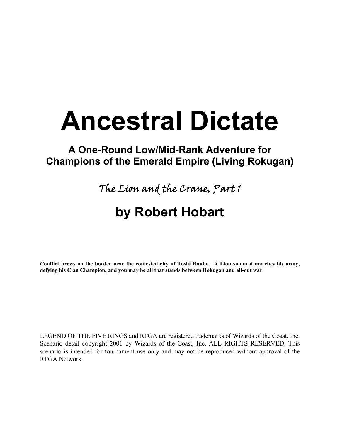# **Ancestral Dictate**

### **A One-Round Low/Mid-Rank Adventure for Champions of the Emerald Empire (Living Rokugan)**

The Lion and the Crane, Part 1

# **by Robert Hobart**

**Conflict brews on the border near the contested city of Toshi Ranbo. A Lion samurai marches his army, defying his Clan Champion, and you may be all that stands between Rokugan and all-out war.** 

LEGEND OF THE FIVE RINGS and RPGA are registered trademarks of Wizards of the Coast, Inc. Scenario detail copyright 2001 by Wizards of the Coast, Inc. ALL RIGHTS RESERVED. This scenario is intended for tournament use only and may not be reproduced without approval of the RPGA Network.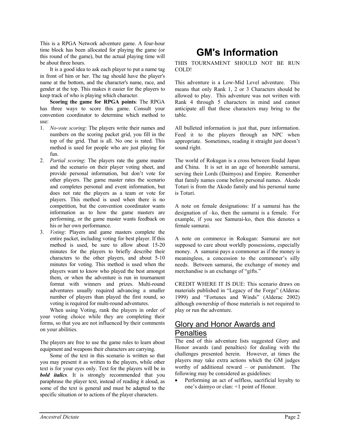This is a RPGA Network adventure game. A four-hour time block has been allocated for playing the game (or this round of the game), but the actual playing time will be about three hours.

It is a good idea to ask each player to put a name tag in front of him or her. The tag should have the player's name at the bottom, and the character's name, race, and gender at the top. This makes it easier for the players to keep track of who is playing which character.

**Scoring the game for RPGA points**: The RPGA has three ways to score this game. Consult your convention coordinator to determine which method to use:

- 1. *No-vote scoring*: The players write their names and numbers on the scoring packet grid, you fill in the top of the grid. That is all. No one is rated. This method is used for people who are just playing for fun.
- 2. *Partial scoring*: The players rate the game master and the scenario on their player voting sheet, and provide personal information, but don't vote for other players. The game master rates the scenario and completes personal and event information, but does not rate the players as a team or vote for players. This method is used when there is no competition, but the convention coordinator wants information as to how the game masters are performing, or the game master wants feedback on his or her own performance.
- 3. *Voting*: Players and game masters complete the entire packet, including voting for best player. If this method is used, be sure to allow about 15-20 minutes for the players to briefly describe their characters to the other players, and about 5-10 minutes for voting. This method is used when the players want to know who played the best amongst them, or when the adventure is run in tournament format with winners and prizes. Multi-round adventures usually required advancing a smaller number of players than played the first round, so voting is required for multi-round adventures.

When using Voting, rank the players in order of your voting choice while they are completing their forms, so that you are not influenced by their comments on your abilities.

The players are free to use the game rules to learn about equipment and weapons their characters are carrying.

Some of the text in this scenario is written so that you may present it as written to the players, while other text is for your eyes only. Text for the players will be in *bold italics*. It is strongly recommended that you paraphrase the player text, instead of reading it aloud, as some of the text is general and must be adapted to the specific situation or to actions of the player characters.

# **GM's Information**

THIS TOURNAMENT SHOULD NOT BE RUN COLD!

This adventure is a Low-Mid Level adventure. This means that only Rank 1, 2 or 3 Characters should be allowed to play. This adventure was not written with Rank 4 through 5 characters in mind and cannot anticipate all that these characters may bring to the table.

All bulleted information is just that, pure information. Feed it to the players through an NPC when appropriate. Sometimes, reading it straight just doesn't sound right.

The world of Rokugan is a cross between feudal Japan and China. It is set in an age of honorable samurai, serving their Lords (Daimyos) and Empire. Remember that family names come before personal names. Akodo Toturi is from the Akodo family and his personal name is Toturi.

A note on female designations: If a samurai has the designation of –ko, then the samurai is a female. For example, if you see Samurai-ko, then this denotes a female samurai.

A note on commerce in Rokugan: Samurai are not supposed to care about worldly possessions, especially money. A samurai pays a commoner as if the money is meaningless, a concession to the commoner's silly needs. Between samurai, the exchange of money and merchandise is an exchange of "gifts."

CREDIT WHERE IT IS DUE: This scenario draws on materials published in "Legacy of the Forge" (Alderac 1999) and "Fortunes and Winds" (Alderac 2002) although ownership of those materials is not required to play or run the adventure.

### Glory and Honor Awards and **Penalties**

The end of this adventure lists suggested Glory and Honor awards (and penalties) for dealing with the challenges presented herein. However, at times the players may take extra actions which the GM judges worthy of additional reward – or punishment. The following may be considered as guidelines:

• Performing an act of selfless, sacrificial loyalty to one's daimyo or clan: +1 point of Honor.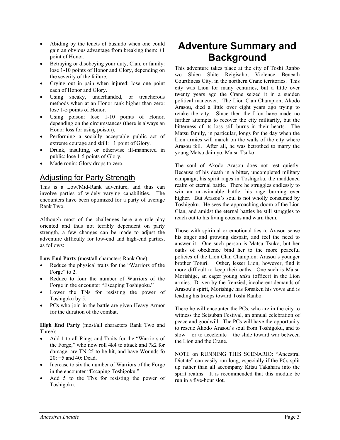- Abiding by the tenets of bushido when one could gain an obvious advantage from breaking them: +1 point of Honor.
- Betraying or disobeying your duty, Clan, or family: lose 1-10 points of Honor and Glory, depending on the severity of the failure.
- Crying out in pain when injured: lose one point each of Honor and Glory.
- Using sneaky, underhanded, or treacherous methods when at an Honor rank higher than zero: lose 1-5 points of Honor.
- Using poison: lose 1-10 points of Honor, depending on the circumstances (there is always an Honor loss for using poison).
- Performing a socially acceptable public act of extreme courage and skill: +1 point of Glory.
- Drunk, insulting, or otherwise ill-mannered in public: lose 1-5 points of Glory.
- Made ronin: Glory drops to zero.

### Adjusting for Party Strength

This is a Low/Mid-Rank adventure, and thus can involve parties of widely varying capabilities. The encounters have been optimized for a party of average Rank Two.

Although most of the challenges here are role-play oriented and thus not terribly dependent on party strength, a few changes can be made to adjust the adventure difficulty for low-end and high-end parties, as follows:

**Low End Party** (most/all characters Rank One):

- Reduce the physical traits for the "Warriors of the Forge" to 2.
- Reduce to four the number of Warriors of the Forge in the encounter "Escaping Toshigoku."
- Lower the TNs for resisting the power of Toshigoku by 5.
- PCs who join in the battle are given Heavy Armor for the duration of the combat.

**High End Party** (most/all characters Rank Two and Three):

- Add 1 to all Rings and Traits for the "Warriors of the Forge," who now roll 4k4 to attack and 7k2 for damage, are TN 25 to be hit, and have Wounds fo 20: +5 and 40: Dead.
- Increase to six the number of Warriors of the Forge in the encounter "Escaping Toshigoku."
- Add 5 to the TNs for resisting the power of Toshigoku.

### **Adventure Summary and Background**

This adventure takes place at the city of Toshi Ranbo wo Shien Shite Reigisaho, Violence Beneath Courtliness City, in the northern Crane territories. This city was Lion for many centuries, but a little over twenty years ago the Crane seized it in a sudden political maneuver. The Lion Clan Champion, Akodo Arasou, died a little over eight years ago trying to retake the city. Since then the Lion have made no further attempts to recover the city militarily, but the bitterness of its loss still burns in their hearts. The Matsu family, in particular, longs for the day when the Lion armies will march on the walls of the city where Arasou fell. After all, he was betrothed to marry the young Matsu daimyo, Matsu Tsuko.

The soul of Akodo Arasou does not rest quietly. Because of his death in a bitter, uncompleted military campaign, his spirit rages in Toshigoku, the maddened realm of eternal battle. There he struggles endlessly to win an un-winnable battle, his rage burning ever higher. But Arasou's soul is not wholly consumed by Toshigoku. He sees the approaching doom of the Lion Clan, and amidst the eternal battles he still struggles to reach out to his living cousins and warn them.

Those with spiritual or emotional ties to Arasou sense his anger and growing despair, and feel the need to answer it. One such person is Matsu Tsuko, but her oaths of obedience bind her to the more peaceful policies of the Lion Clan Champion: Arasou's younger brother Toturi. Other, lesser Lion, however, find it more difficult to keep their oaths. One such is Matsu Morishige, an eager young *taisa* (officer) in the Lion armies. Driven by the frenzied, incoherent demands of Arasou's spirit, Morishige has forsaken his vows and is leading his troops toward Toshi Ranbo.

There he will encounter the PCs, who are in the city to witness the Setsuban Festival, an annual celebration of peace and goodwill. The PCs will have the opportunity to rescue Akodo Arasou's soul from Toshigoku, and to slow – or to accelerate – the slide toward war between the Lion and the Crane.

NOTE on RUNNING THIS SCENARIO: "Ancestral Dictate" can easily run long, especially if the PCs split up rather than all accompany Kitsu Takahara into the spirit realms. It is recommended that this module be run in a five-hour slot.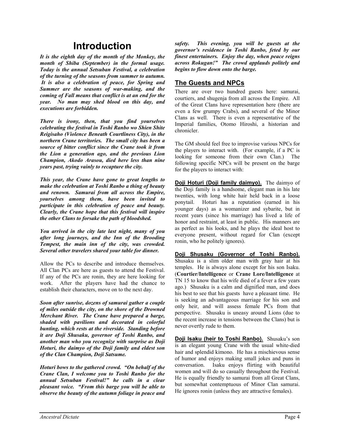### **Introduction**

*It is the eighth day of the month of the Monkey, the month of Shiba (September) in the formal usage. Today is the annual Setsuban Festival, a celebration of the turning of the seasons from summer to autumn. It is also a celebration of peace, for Spring and Summer are the seasons of war-making, and the coming of Fall means that conflict is at an end for the year. No man may shed blood on this day, and executions are forbidden.* 

*There is irony, then, that you find yourselves celebrating the festival in Toshi Ranbo wo Shien Shite Reigisaho (Violence Beneath Courtliness City), in the northern Crane territories. The small city has been a source of bitter conflict since the Crane took it from the Lion a generation ago, and the previous Lion Champion, Akodo Arasou, died here less than nine years past, trying vainly to recapture the city.* 

*This year, the Crane have gone to great lengths to make the celebration at Toshi Ranbo a thing of beauty and renown. Samurai from all across the Empire, yourselves among them, have been invited to participate in this celebration of peace and beauty. Clearly, the Crane hope that this festival will inspire the other Clans to forsake the path of bloodshed.* 

*You arrived in the city late last night, many of you after long journeys, and the Inn of the Brooding Tempest, the main inn of the city, was crowded. Several other travelers shared your table for dinner.* 

Allow the PCs to describe and introduce themselves. All Clan PCs are here as guests to attend the Festival. If any of the PCs are ronin, they are here looking for work. After the players have had the chance to establish their characters, move on to the next day.

*Soon after sunrise, dozens of samurai gather a couple of miles outside the city, on the shore of the Drowned Merchant River. The Crane have prepared a barge, shaded with pavilions and decorated in colorful bunting, which rests at the riverside. Standing before it are Doji Shusaku, governor of Toshi Ranbo, and another man who you recognize with surprise as Doji Hoturi, the daimyo of the Doji family and eldest son of the Clan Champion, Doji Satsume.* 

*Hoturi bows to the gathered crowd. "On behalf of the Crane Clan, I welcome you to Toshi Ranbo for the annual Setsuban Festival!" he calls in a clear pleasant voice. "From this barge you will be able to observe the beauty of the autumn foliage in peace and*  *safety. This evening, you will be guests at the governor's residence in Toshi Ranbo, feted by our finest entertainers. Enjoy the day, when peace reigns across Rokugan!" The crowd applauds politely and begins to flow down onto the barge.* 

#### **The Guests and NPCs**

There are over two hundred guests here: samurai, courtiers, and shugenja from all across the Empire. All of the Great Clans have representation here (there are even a few grumpy Crabs), and several of the Minor Clans as well. There is even a representative of the Imperial families, Otomo Hiroshi, a historian and chronicler.

The GM should feel free to improvise various NPCs for the players to interact with. (For example, if a PC is looking for someone from their own Clan.) The following specific NPCs will be present on the barge for the players to interact with:

**Doji Hoturi (Doji family daimyo).** The daimyo of the Doji family is a handsome, elegant man in his late twenties, with long white hair held back in a loose ponytail. Hoturi has a reputation (earned in his younger days) as a womanizer and sybarite, but in recent years (since his marriage) has lived a life of honor and restraint, at least in public. His manners are as perfect as his looks, and he plays the ideal host to everyone present, without regard for Clan (except ronin, who he politely ignores).

**Doji Shusaku (Governor of Toshi Ranbo).** Shusaku is a slim older man with gray hair at his temples. He is always alone except for his son Isaku. (**Courtier/Intelligence** or **Crane Lore/Intelligence** at TN 15 to know that his wife died of a fever a few years ago.) Shusaku is a calm and dignified man, and does his best to see that his guests have a pleasant time. He is seeking an advantageous marriage for his son and only heir, and will assess female PCs from that perspective. Shusaku is uneasy around Lions (due to the recent increase in tensions between the Clans) but is never overtly rude to them.

**Doji Isaku (heir to Toshi Ranbo).** Shusaku's son is an elegant young Crane with the usual white-died hair and splendid kimono. He has a mischievous sense of humor and enjoys making small jokes and puns in conversation. Isaku enjoys flirting with beautiful women and will do so casually throughout the Festival. He is equally friendly to samurai from all Great Clans, but somewhat contemptuous of Minor Clan samurai. He ignores ronin (unless they are attractive females).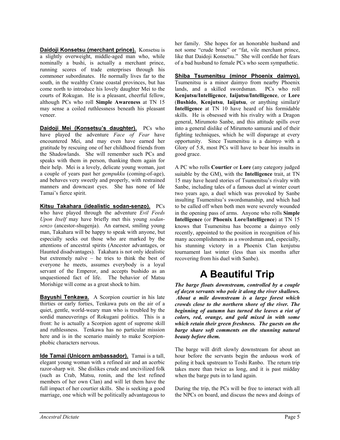**Daidoji Konsetsu (merchant prince).** Konsetsu is a slightly overweight, middle-aged man who, while nominally a bushi, is actually a merchant prince, running scores of trade enterprises through his commoner subordinates. He normally lives far to the south, in the wealthy Crane coastal provinces, but has come north to introduce his lovely daughter Mei to the courts of Rokugan. He is a pleasant, cheerful fellow, although PCs who roll **Simple Awareness** at TN 15 may sense a coiled ruthlessness beneath his pleasant veneer.

Daidoji Mei (Konsetsu's daughter). PCs who have played the adventure *Face of Fear* have encountered Mei, and may even have earned her gratitude by rescuing one of her childhood friends from the Shadowlands. She will remember such PCs and speaks with them in person, thanking them again for their help. Mei is a lovely, delicate young woman, just a couple of years past her *gempukku* (coming-of-age), and behaves very sweetly and properly, with restrained manners and downcast eyes. She has none of Ide Tamai's fierce spirit.

**Kitsu Takahara (idealistic sodan-senzo).** PCs who have played through the adventure *Evil Feeds Upon Itself* may have briefly met this young *sodansenzo* (ancestor-shugenja). An earnest, smiling young man, Takahara will be happy to speak with anyone, but especially seeks out those who are marked by the attentions of ancestral spirits (Ancestor advantages, or Haunted disadvantages). Takahara is not only idealistic but extremely naïve – he tries to think the best of everyone he meets, assumes everybody is a loyal servant of the Emperor, and accepts bushido as an unquestioned fact of life. The behavior of Matsu Morishige will come as a great shock to him.

**Bayushi Tenkawa.** A Scorpion courtier in his late thirties or early forties, Tenkawa puts on the air of a quiet, gentle, world-weary man who is troubled by the sordid maneuverings of Rokugani politics. This is a front: he is actually a Scorpion agent of supreme skill and ruthlessness. Tenkawa has no particular mission here and is in the scenario mainly to make Scorpionphobic characters nervous.

**Ide Tamai (Unicorn ambassador).** Tamai is a tall, elegant young woman with a refined air and an acerbic razor-sharp wit. She dislikes crude and uncivilized folk (such as Crab, Matsu, ronin, and the lest refined members of her own Clan) and will let them have the full impact of her courtier skills. She is seeking a good marriage, one which will be politically advantageous to

her family. She hopes for an honorable husband and not some "crude brute" or "fat, vile merchant prince, like that Daidoji Konsetsu." She will confide her fears of a bad husband to female PCs who seem sympathetic.

**Shiba Tsumenitsu (minor Phoenix daimyo).** Tsumenitsu is a minor daimyo from nearby Phoenix lands, and a skilled swordsman. PCs who roll **Kenjutsu/Intelligence**, **Iaijutsu/Intelligence**, or **Lore** (**Bushido**, **Kenjutsu**, **Iaijutsu**, or anything similar)**/ Intelligence** at TN 10 have heard of his formidable skills. He is obsessed with his rivalry with a Dragon general, Mirumoto Sanbe, and this attitude spills over into a general dislike of Mirumoto samurai and of their fighting techniques, which he will disparage at every opportunity. Since Tsumenitsu is a daimyo with a Glory of 5.8, most PCs will have to bear his insults in good grace.

A PC who rolls **Courtier** or **Lore** (any category judged suitable by the GM), with the **Intelligence** trait, at TN 15 may have heard stories of Tsumenitsu's rivalry with Sanbe, including tales of a famous duel at winter court two years ago, a duel which was provoked by Sanbe insulting Tsumenitsu's swordsmanship, and which had to be called off when both men were severely wounded in the opening pass of arms. Anyone who rolls **Simple Intelligence** (or **Phoenix Lore/Intelligence**) at TN 15 knows that Tsumenitsu has become a daimyo only recently, appointed to the position in recognition of his many accomplishments as a swordsman and, especially, his stunning victory in a Phoenix Clan kenjutsu tournament last winter (less than six months after recovering from his duel with Sanbe).

# **A Beautiful Trip**

*The barge floats downstream, controlled by a couple of dozen servants who pole it along the river shallows. About a mile downstream is a large forest which crowds close to the northern shore of the river. The beginning of autumn has turned the leaves a riot of colors, red, orange, and gold mixed in with some which retain their green freshness. The guests on the barge share soft comments on the stunning natural beauty before them.* 

The barge will drift slowly downstream for about an hour before the servants begin the arduous work of poling it back upstream to Toshi Ranbo. The return trip takes more than twice as long, and it is past midday when the barge puts in to land again.

During the trip, the PCs will be free to interact with all the NPCs on board, and discuss the news and doings of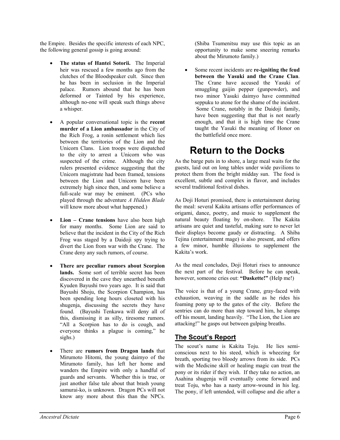the Empire. Besides the specific interests of each NPC, the following general gossip is going around:

- **The status of Hantei Sotorii.** The Imperial heir was rescued a few months ago from the clutches of the Bloodspeaker cult. Since then he has been in seclusion in the Imperial palace. Rumors abound that he has been deformed or Tainted by his experience, although no-one will speak such things above a whisper.
- A popular conversational topic is the **recent murder of a Lion ambassador** in the City of the Rich Frog, a ronin settlement which lies between the territories of the Lion and the Unicorn Clans. Lion troops were dispatched to the city to arrest a Unicorn who was suspected of the crime. Although the city rulers presented evidence suggesting that the Unicorn magistrate had been framed, tensions between the Lion and Unicorn have been extremely high since then, and some believe a full-scale war may be eminent. (PCs who played through the adventure *A Hidden Blade* will know more about what happened.)
- **Lion Crane tensions** have also been high for many months. Some Lion are said to believe that the incident in the City of the Rich Frog was staged by a Daidoji spy trying to divert the Lion from war with the Crane. The Crane deny any such rumors, of course.
- **There are peculiar rumors about Scorpion lands.** Some sort of terrible secret has been discovered in the cave they unearthed beneath Kyuden Bayushi two years ago. It is said that Bayushi Shoju, the Scorpion Champion, has been spending long hours closeted with his shugenja, discussing the secrets they have found. (Bayushi Tenkawa will deny all of this, dismissing it as silly, tiresome rumors. "All a Scorpion has to do is cough, and everyone thinks a plague is coming," he sighs.)
- There are **rumors from Dragon lands** that Mirumoto Hitomi, the young daimyo of the Mirumoto family, has left her home and wanders the Empire with only a handful of guards and servants. Whether this is true, or just another false tale about that brash young samurai-ko, is unknown. Dragon PCs will not know any more about this than the NPCs.

(Shiba Tsumenitsu may use this topic as an opportunity to make some sneering remarks about the Mirumoto family.)

Some recent incidents are **re-igniting the feud between the Yasuki and the Crane Clan**. The Crane have accused the Yasuki of smuggling gaijin pepper (gunpowder), and two minor Yasuki daimyo have committed seppuku to atone for the shame of the incident. Some Crane, notably in the Daidoji family, have been suggesting that that is not nearly enough, and that it is high time the Crane taught the Yasuki the meaning of Honor on the battlefield once more.

### **Return to the Docks**

As the barge puts in to shore, a large meal waits for the guests, laid out on long tables under wide pavilions to protect them from the bright midday sun. The food is excellent, subtle and complex in flavor, and includes several traditional festival dishes.

As Doji Hoturi promised, there is entertainment during the meal: several Kakita artisans offer performances of origami, dance, poetry, and music to supplement the natural beauty floating by on-shore. The Kakita artisans are quiet and tasteful, making sure to never let their displays become gaudy or distracting. A Shiba Tejina (entertainment mage) is also present, and offers a few minor, humble illusions to supplement the Kakita's work.

As the meal concludes, Doji Hoturi rises to announce the next part of the festival. Before he can speak, however, someone cries out: **"Daskette!"** (Help me!)

The voice is that of a young Crane, gray-faced with exhaustion, weaving in the saddle as he rides his foaming pony up to the gates of the city. Before the sentries can do more than step toward him, he slumps off his mount, landing heavily. "The Lion, the Lion are attacking!" he gasps out between gulping breaths.

#### **The Scout's Report**

The scout's name is Kakita Toju. He lies semiconscious next to his steed, which is wheezing for breath, sporting two bloody arrows from its side. PCs with the Medicine skill or healing magic can treat the pony or its rider if they wish. If they take no action, an Asahina shugenja will eventually come forward and treat Toju, who has a nasty arrow-wound in his leg. The pony, if left untended, will collapse and die after a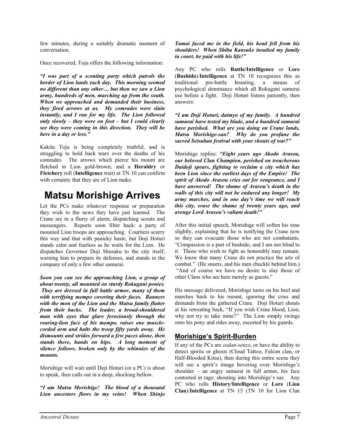few minutes, during a suitably dramatic moment of conversation.

Once recovered, Toju offers the following information:

*"I was part of a scouting party which patrols the border of Lion lands each day. This morning seemed no different than any other… but then we saw a Lion army, hundreds of men, marching up from the south. When we approached and demanded their business, they fired arrows at us. My comrades were slain instantly, and I ran for my life. The Lion followed only slowly – they were on foot – but I could clearly see they were coming in this direction. They will be here in a day or less."* 

Kakita Toju is being completely truthful, and is struggling to hold back tears over the deaths of his comrades. The arrows which pierce his mount are fletched in Lion gold-brown, and a **Heraldry** or **Fletchery** roll (**Intelligence** trait) at TN 10 can confirm with certainty that they are of Lion make.

### **Matsu Morishige Arrives**

Let the PCs make whatever response or preparation they wish to the news they have just learned. The Crane are in a flurry of alarm, dispatching scouts and messengers. Reports soon filter back: a party of mounted Lion troops are approaching. Courtiers scurry this way and that with panicky haste, but Doji Hoturi stands calm and fearless as he waits for the Lion. He dispatches Governor Doji Shusaku to the city itself, warning him to prepare its defenses, and stands in the company of only a few other samurai.

*Soon you can see the approaching Lion, a group of about twenty, all mounted on sturdy Rokugani ponies. They are dressed in full battle armor, many of them with terrifying mempo covering their faces. Banners with the mon of the Lion and the Matsu family flutter from their backs. The leader, a broad-shouldered man with eyes that glare ferociously through the roaring-lion face of his mempo, raises one musclecorded arm and halts the troop fifty yards away. He dismounts and strides forward a few paces alone, then stands there, hands on hips. A long moment of silence follows, broken only by the whinnies of the mounts.* 

Morishige will wait until Doji Hoturi (or a PC) is about to speak, then calls out in a deep, shocking bellow.

*"I am Matsu Morishige! The blood of a thousand Lion ancestors flows in my veins! When Shinjo* 

*Tamai faced me in the field, his head fell from his shoulders! When Shiba Kansuke insulted my family in court, he paid with his life!"*

Any PC who rolls **Battle/Intelligence** or **Lore** (**Bushido**)/**Intelligence** at TN 10 recognizes this as traditional pre-battle boasting, a means of psychological dominance which all Rokugani samurai use before a fight. Doji Hoturi listens patiently, then answers:

*"I am Doji Hoturi, daimyo of my family. A hundred samurai have tested my blade, and a hundred samurai have perished. What are you doing on Crane lands, Matsu Morishige-san? Why do you profane the sacred Setsuban festival with your shouts of war?"* 

Morishige replies: *"Eight years ago Akodo Arasou, our beloved Clan Champion, perished on treacherous Daidoji spears, fighting to reclaim a city which has been Lion since the earliest days of the Empire! The spirit of Akodo Arasou cries out for vengeance, and I have answered! The shame of Arasou's death in the walls of this city will not be endured any longer! My army marches, and in one day's time we will reach this city, erase the shame of twenty years ago, and avenge Lord Arasou's valiant death!"* 

After this initial speech, Morishige will soften his tone slightly, explaining that he is notifying the Crane now so they can evacuate those who are not combatants. "Compassion is a part of bushido, and I am not blind to it. Those who wish to fight us honorably may remain. We know that many Crane do not practice the arts of combat." (He sneers, and his men chuckle behind him.) "And of course we have no desire to slay those of other Clans who are here merely as guests."

His message delivered, Morishige turns on his heel and marches back to his mount, ignoring the cries and demands from the gathered Crane. Doji Hoturi shouts at his retreating back, "If you wish Crane blood, Lion, why not try to take mine?" The Lion simply swings onto his pony and rides away, escorted by his guards.

#### **Morishige's Spirit-Burden**

If any of the PCs are *sodan-senzo*, or have the ability to detect spirits or ghosts (Cloud Tattoo, Falcon clan, or Half-Blooded Kitsu), then during this entire scene they will see a spirit's image hovering over Morishige's shoulder – an angry samurai in full armor, his face contorted in rage, shouting into Morishige's ear. Any PC who rolls **History/Intelligence** or **Lore** (**Lion Clan**)/**Intelligence** at TN 15 (TN 10 for Lion Clan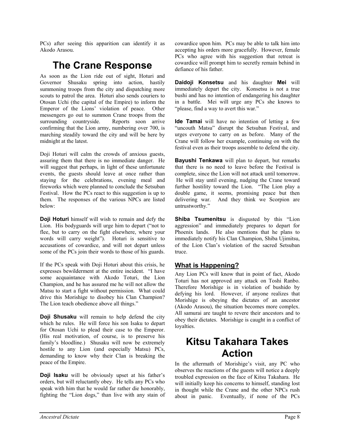PCs) after seeing this apparition can identify it as Akodo Arasou.

### **The Crane Response**

As soon as the Lion ride out of sight, Hoturi and Governor Shusaku spring into action, hastily summoning troops from the city and dispatching more scouts to patrol the area. Hoturi also sends couriers to Otosan Uchi (the capital of the Empire) to inform the Emperor of the Lions' violation of peace. Other messengers go out to summon Crane troops from the surrounding countryside. Reports soon arrive confirming that the Lion army, numbering over 700, is marching steadily toward the city and will be here by midnight at the latest.

Doji Hoturi will calm the crowds of anxious guests, assuring them that there is no immediate danger. He will suggest that perhaps, in light of these unfortunate events, the guests should leave at once rather than staying for the celebrations, evening meal and fireworks which were planned to conclude the Setsuban Festival. How the PCs react to this suggestion is up to them. The responses of the various NPCs are listed below:

**Doji Hoturi** himself will wish to remain and defy the Lion. His bodyguards will urge him to depart ("not to flee, but to carry on the fight elsewhere, where your words will carry weight"). Hoturi is sensitive to accusations of cowardice, and will not depart unless some of the PCs join their words to those of his guards.

If the PCs speak with Doji Hoturi about this crisis, he expresses bewilderment at the entire incident. "I have some acquaintance with Akodo Toturi, the Lion Champion, and he has assured me he will not allow the Matsu to start a fight without permission. What could drive this Morishige to disobey his Clan Champion? The Lion teach obedience above all things."

**Doji Shusaku** will remain to help defend the city which he rules. He will force his son Isaku to depart for Otosan Uchi to plead their case to the Emperor. (His real motivation, of course, is to preserve his family's bloodline.) Shusaku will now be extremely hostile to any Lion (and especially Matsu) PCs, demanding to know why their Clan is breaking the peace of the Empire.

**Doji Isaku** will be obviously upset at his father's orders, but will reluctantly obey. He tells any PCs who speak with him that he would far rather die honorably, fighting the "Lion dogs," than live with any stain of cowardice upon him. PCs may be able to talk him into accepting his orders more gracefully. However, female PCs who agree with his suggestion that retreat is cowardice will prompt him to secretly remain behind in defiance of his father.

**Daidoji Konsetsu** and his daughter **Mei** will immediately depart the city. Konsetsu is not a true bushi and has no intention of endangering his daughter in a battle. Mei will urge any PCs she knows to "please, find a way to avert this war."

**Ide Tamai** will have no intention of letting a few "uncouth Matsu" disrupt the Setsuban Festival, and urges everyone to carry on as before. Many of the Crane will follow her example, continuing on with the festival even as their troops assemble to defend the city.

**Bayushi Tenkawa** will plan to depart, but remarks that there is no need to leave before the Festival is complete, since the Lion will not attack until tomorrow. He will stay until evening, nudging the Crane toward further hostility toward the Lion. "The Lion play a double game, it seems, promising peace but then delivering war. And they think we Scorpion are untrustworthy."

**Shiba Tsumenitsu** is disgusted by this "Lion aggression" and immediately prepares to depart for Phoenix lands. He also mentions that he plans to immediately notify his Clan Champion, Shiba Ujimitsu, of the Lion Clan's violation of the sacred Setsuban truce.

#### **What is Happening?**

Any Lion PCs will know that in point of fact, Akodo Toturi has not approved any attack on Toshi Ranbo. Therefore Morishige is in violation of bushido by defying his lord. However, if anyone realizes that Morishige is obeying the dictates of an ancestor (Akodo Arasou), the situation becomes more complex. All samurai are taught to revere their ancestors and to obey their dictates. Morishige is caught in a conflict of loyalties.

### **Kitsu Takahara Takes Action**

In the aftermath of Morishige's visit, any PC who observes the reactions of the guests will notice a deeply troubled expression on the face of Kitsu Takahara. He will initially keep his concerns to himself, standing lost in thought while the Crane and the other NPCs rush about in panic. Eventually, if none of the PCs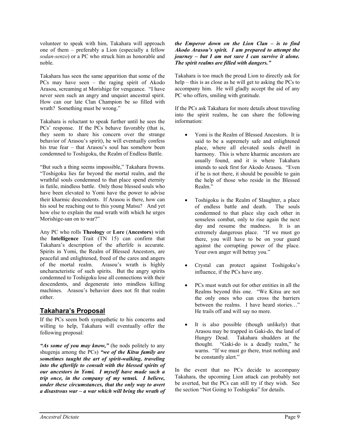volunteer to speak with him, Takahara will approach one of them – preferably a Lion (especially a fellow *sodan-senzo*) or a PC who struck him as honorable and noble.

Takahara has seen the same apparition that some of the PCs may have seen – the raging spirit of Akodo Arasou, screaming at Morishige for vengeance. "I have never seen such an angry and unquiet ancestral spirit. How can our late Clan Champion be so filled with wrath? Something must be wrong."

Takahara is reluctant to speak further until he sees the PCs' response. If the PCs behave favorably (that is, they seem to share his concern over the strange behavior of Arasou's spirit), he will eventually confess his true fear – that Arasou's soul has somehow been condemned to Toshigoku, the Realm of Endless Battle.

"But such a thing seems impossible," Takahara frowns. "Toshigoku lies far beyond the mortal realm, and the wrathful souls condemned to that place spend eternity in futile, mindless battle. Only those blessed souls who have been elevated to Yomi have the power to advise their kharmic descendents. If Arasou is there, how can his soul be reaching out to this young Matsu? And yet how else to explain the mad wrath with which he urges Morishige-san on to war?"

Any PC who rolls **Theology** or **Lore** (**Ancestors**) with the **Intelligence** Trait (TN 15) can confirm that Takahara's description of the afterlife is accurate. Spirits in Yomi, the Realm of Blessed Ancestors, are peaceful and enlightened, freed of the cares and angers of the mortal realm. Arasou's wrath is highly uncharacteristic of such spirits. But the angry spirits condemned to Toshigoku lose all connections with their descendents, and degenerate into mindless killing machines. Arasou's behavior does not fit that realm either.

#### **Takahara's Proposal**

If the PCs seem both sympathetic to his concerns and willing to help, Takahara will eventually offer the following proposal:

*"As some of you may know,"* (he nods politely to any shugenja among the PCs) *"we of the Kitsu family are sometimes taught the art of spirit-walking, traveling into the afterlife to consult with the blessed spirits of our ancestors in Yomi. I myself have made such a trip once, in the company of my* **sensei***. I believe, under these circumstances, that the only way to avert a disastrous war – a war which will bring the wrath of*

#### *the Emperor down on the Lion Clan – is to find Akodo Arasou's spirit. I am prepared to attempt the journey – but I am not sure I can survive it alone. The spirit realms are filled with dangers."*

Takahara is too much the proud Lion to directly ask for help – this is as close as he will get to asking the PCs to accompany him. He will gladly accept the aid of any PC who offers, smiling with gratitude.

If the PCs ask Takahara for more details about traveling into the spirit realms, he can share the following information:

- Yomi is the Realm of Blessed Ancestors. It is said to be a supremely safe and enlightened place, where all elevated souls dwell in harmony. This is where kharmic ancestors are usually found, and it is where Takahara intends to seek first for Akodo Arasou. "Even if he is not there, it should be possible to gain the help of those who reside in the Blessed Realm."
- Toshigoku is the Realm of Slaughter, a place of endless battle and death. The souls condemned to that place slay each other in senseless combat, only to rise again the next day and resume the madness. It is an extremely dangerous place. "If we must go there, you will have to be on your guard against the corrupting power of the place. Your own anger will betray you."
- Crystal can protect against Toshigoku's influence, if the PCs have any.
- PCs must watch out for other entities in all the Realms beyond this one. "We Kitsu are not the only ones who can cross the barriers between the realms. I have heard stories…" He trails off and will say no more.
- It is also possible (though unlikely) that Arasou may be trapped in Gaki-do, the land of Hungry Dead. Takahara shudders at the thought. "Gaki-do is a deadly realm," he warns. "If we must go there, trust nothing and be constantly alert."

In the event that no PCs decide to accompany Takahara, the upcoming Lion attack can probably not be averted, but the PCs can still try if they wish. See the section "Not Going to Toshigoku" for details.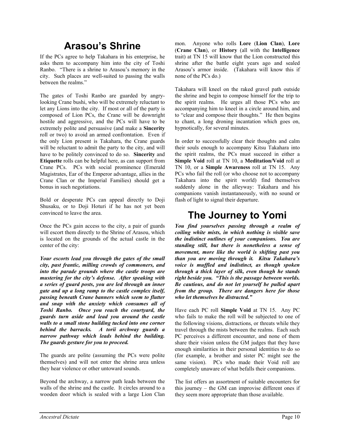### **Arasou's Shrine**

If the PCs agree to help Takahara in his enterprise, he asks them to accompany him into the city of Toshi Ranbo. "There is a shrine to Arasou's memory in the city. Such places are well-suited to passing the walls between the realms."

The gates of Toshi Ranbo are guarded by angrylooking Crane bushi, who will be extremely reluctant to let any Lions into the city. If most or all of the party is composed of Lion PCs, the Crane will be downright hostile and aggressive, and the PCs will have to be extremely polite and persuasive (and make a **Sincerity** roll or two) to avoid an armed confrontation. Even if the only Lion present is Takahara, the Crane guards will be reluctant to admit the party to the city, and will have to be politely convinced to do so. **Sincerity** and **Etiquette** rolls can be helpful here, as can support from Crane PCs. PCs with social prominence (Emerald Magistrates, Ear of the Emperor advantage, allies in the Crane Clan or the Imperial Families) should get a bonus in such negotiations.

Bold or desperate PCs can appeal directly to Doji Shusaku, or to Doji Hoturi if he has not yet been convinced to leave the area.

Once the PCs gain access to the city, a pair of guards will escort them directly to the Shrine of Arasou, which is located on the grounds of the actual castle in the center of the city:

*Your escorts lead you through the gates of the small city, past frantic, milling crowds of commoners, and into the parade grounds where the castle troops are mustering for the city's defense. After speaking with a series of guard posts, you are led through an inner gate and up a long ramp to the castle complex itself, passing beneath Crane banners which seem to flutter and snap with the anxiety which consumes all of Toshi Ranbo. Once you reach the courtyard, the guards turn aside and lead you around the castle walls to a small stone building tucked into one corner behind the barracks. A torii archway guards a narrow pathway which leads behind the building. The guards gesture for you to proceed.* 

The guards are polite (assuming the PCs were polite themselves) and will not enter the shrine area unless they hear violence or other untoward sounds.

Beyond the archway, a narrow path leads between the walls of the shrine and the castle. It circles around to a wooden door which is sealed with a large Lion Clan mon. Anyone who rolls **Lore** (**Lion Clan**), **Lore** (**Crane Clan**), or **History** (all with the **Intelligence** trait) at TN 15 will know that the Lion constructed this shrine after the battle eight years ago and sealed Arasou's armor inside. (Takahara will know this if none of the PCs do.)

Takahara will kneel on the raked gravel path outside the shrine and begin to compose himself for the trip to the spirit realms. He urges all those PCs who are accompanying him to kneel in a circle around him, and to "clear and compose their thoughts." He then begins to chant, a long droning incantation which goes on, hypnotically, for several minutes.

In order to successfully clear their thoughts and calm their souls enough to accompany Kitsu Takahara into the spirit realms, the PCs must succeed in either a **Simple Void** roll at TN 10, a **Meditation/Void** roll at TN 10, or a **Simple Awareness** roll at TN 15. Any PCs who fail the roll (or who choose not to accompany Takahara into the spirit world) find themselves suddenly alone in the alleyway: Takahara and his companions vanish instantaneously, with no sound or flash of light to signal their departure.

### **The Journey to Yomi**

*You find yourselves passing through a realm of coiling white mists, in which nothing is visible save the indistinct outlines of your companions. You are standing still, but there is nonetheless a sense of movement, more like the world is shifting past you than you are moving through it. Kitsu Takahara's voice is muffled and indistinct, as though spoken through a thick layer of silk, even though he stands right beside you. "This is the passage between worlds. Be cautious, and do not let yourself be pulled apart from the group. There are dangers here for those who let themselves be distracted."* 

Have each PC roll **Simple Void** at TN 15. Any PC who fails to make the roll will be subjected to one of the following visions, distractions, or threats while they travel through the mists between the realms. Each such PC perceives a different encounter, and none of them share their vision unless the GM judges that they have enough similarities in their personal identities to do so (for example, a brother and sister PC might see the same vision). PCs who made their Void roll are completely unaware of what befalls their companions.

The list offers an assortment of suitable encounters for this journey – the GM can improvise different ones if they seem more appropriate than those available.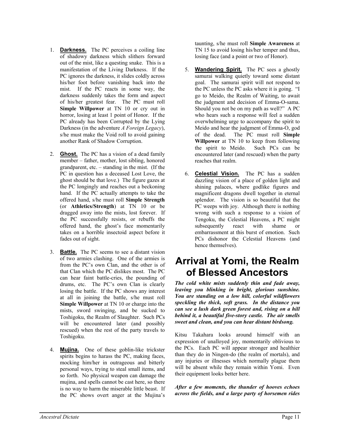- 1. **Darkness.** The PC perceives a coiling line of shadowy darkness which slithers forward out of the mist, like a questing snake. This is a manifestation of the Living Darkness. If the PC ignores the darkness, it slides coldly across his/her foot before vanishing back into the mist. If the PC reacts in some way, the darkness suddenly takes the form and aspect of his/her greatest fear. The PC must roll **Simple Willpower** at TN 10 or cry out in horror, losing at least 1 point of Honor. If the PC already has been Corrupted by the Lying Darkness (in the adventure *A Foreign Legacy*), s/he must make the Void roll to avoid gaining another Rank of Shadow Corruption.
- 2. **Ghost.** The PC has a vision of a dead family member – father, mother, lost sibling, honored grandparent, etc. – standing in the mist. (If the PC in question has a deceased Lost Love, the ghost should be that love.) The figure gazes at the PC longingly and reaches out a beckoning hand. If the PC actually attempts to take the offered hand, s/he must roll **Simple Strength** (or **Athletics/Strength**) at TN 10 or be dragged away into the mists, lost forever. If the PC successfully resists, or rebuffs the offered hand, the ghost's face momentarily takes on a horrible insectoid aspect before it fades out of sight.
- 3. **Battle.** The PC seems to see a distant vision of two armies clashing. One of the armies is from the PC's own Clan, and the other is of that Clan which the PC dislikes most. The PC can hear faint battle-cries, the pounding of drums, etc. The PC's own Clan is clearly losing the battle. If the PC shows any interest at all in joining the battle, s/he must roll **Simple Willpower** at TN 10 or charge into the mists, sword swinging, and be sucked to Toshigoku, the Realm of Slaughter. Such PCs will be encountered later (and possibly rescued) when the rest of the party travels to Toshigoku.
- 4. **Mujina.** One of these goblin-like trickster spirits begins to harass the PC, making faces, mocking him/her in outrageous and bitterly personal ways, trying to steal small items, and so forth. No physical weapon can damage the mujina, and spells cannot be cast here, so there is no way to harm the miserable little beast. If the PC shows overt anger at the Mujina's

taunting, s/he must roll **Simple Awareness** at TN 15 to avoid losing his/her temper and thus, losing face (and a point or two of Honor).

- 5. **Wandering Spirit.** The PC sees a ghostly samurai walking quietly toward some distant goal. The samurai spirit will not respond to the PC unless the PC asks where it is going. "I go to Meido, the Realm of Waiting, to await the judgment and decision of Emma-O-sama. Should you not be on my path as well?" A PC who hears such a response will feel a sudden overwhelming urge to accompany the spirit to Meido and hear the judgment of Emma-O, god of the dead. The PC must roll **Simple Willpower** at TN 10 to keep from following the spirit to Meido. Such PCs can be encountered later (and rescued) when the party reaches that realm.
- 6. **Celestial Vision.** The PC has a sudden dazzling vision of a place of golden light and shining palaces, where godlike figures and magnificent dragons dwell together in eternal splendor. The vision is so beautiful that the PC weeps with joy. Although there is nothing wrong with such a response to a vision of Tengoku, the Celestial Heavens, a PC might subsequently react with shame or embarrassment at this burst of emotion. Such PCs dishonor the Celestial Heavens (and hence themselves).

### **Arrival at Yomi, the Realm of Blessed Ancestors**

*The cold white mists suddenly thin and fade away, leaving you blinking in bright, glorious sunshine. You are standing on a low hill, colorful wildflowers speckling the thick, soft grass. In the distance you can see a lush dark green forest and, rising on a hill behind it, a beautiful five-story castle. The air smells sweet and clean, and you can hear distant birdsong.* 

Kitsu Takahara looks around himself with an expression of unalloyed joy, momentarily oblivious to the PCs. Each PC will appear stronger and healthier than they do in Ningen-do (the realm of mortals), and any injuries or illnesses which normally plague them will be absent while they remain within Yomi. Even their equipment looks better here.

*After a few moments, the thunder of hooves echoes across the fields, and a large party of horsemen rides*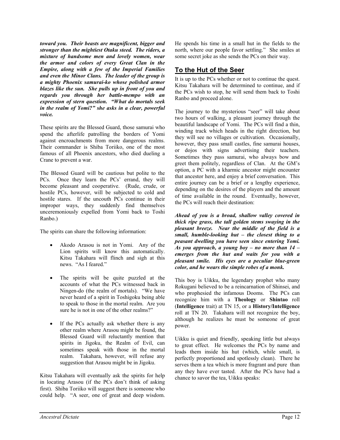*toward you. Their beasts are magnificent, bigger and stronger than the mightiest Otaku steed. The riders, a mixture of handsome men and lovely women, wear the armor and colors of every Great Clan in the Empire, along with a few of the Imperial Families and even the Minor Clans. The leader of the group is a mighty Phoenix samurai-ko whose polished armor blazes like the sun. She pulls up in front of you and regards you through her battle-mempo with an expression of stern question. "What do mortals seek in the realm of Yomi?" she asks in a clear, powerful voice.* 

These spirits are the Blessed Guard, those samurai who spend the afterlife patrolling the borders of Yomi against encroachments from more dangerous realms. Their commander is Shiba Toriiko, one of the most famous of all Phoenix ancestors, who died dueling a Crane to prevent a war.

The Blessed Guard will be cautious but polite to the PCs. Once they learn the PCs' errand, they will become pleasant and cooperative. (Rude, crude, or hostile PCs, however, will be subjected to cold and hostile stares. If the uncouth PCs continue in their improper ways, they suddenly find themselves unceremoniously expelled from Yomi back to Toshi Ranbo.)

The spirits can share the following information:

- Akodo Arasou is not in Yomi. Any of the Lion spirits will know this automatically. Kitsu Takahara will flinch and sigh at this news. "As I feared."
- The spirits will be quite puzzled at the accounts of what the PCs witnessed back in Ningen-do (the realm of mortals). "We have never heard of a spirit in Toshigoku being able to speak to those in the mortal realm. Are you sure he is not in one of the other realms?"
- If the PCs actually ask whether there is any other realm where Arasou might be found, the Blessed Guard will reluctantly mention that spirits in Jigoku, the Realm of Evil, can sometimes speak with those in the mortal realm. Takahara, however, will refuse any suggestion that Arasou might be in Jigoku.

Kitsu Takahara will eventually ask the spirits for help in locating Arasou (if the PCs don't think of asking first). Shiba Toriiko will suggest there is someone who could help. "A seer, one of great and deep wisdom.

He spends his time in a small hut in the fields to the north, where our people favor settling." She smiles at some secret joke as she sends the PCs on their way.

### **To the Hut of the Seer**

It is up to the PCs whether or not to continue the quest. Kitsu Takahara will be determined to continue, and if the PCs wish to stop, he will send them back to Toshi Ranbo and proceed alone.

The journey to the mysterious "seer" will take about two hours of walking, a pleasant journey through the beautiful landscape of Yomi. The PCs will find a thin, winding track which heads in the right direction, but they will see no villages or cultivation. Occasionally, however, they pass small castles, fine samurai houses, or dojos with signs advertising their teachers. Sometimes they pass samurai, who always bow and greet them politely, regardless of Clan. At the GM's option, a PC with a kharmic ancestor might encounter that ancestor here, and enjoy a brief conversation. This entire journey can be a brief or a lengthy experience, depending on the desires of the players and the amount of time available in the round. Eventually, however, the PCs will reach their destination:

*Ahead of you is a broad, shallow valley covered in thick ripe grass, the tall golden stems swaying in the pleasant breeze. Near the middle of the field is a small, humble-looking hut – the closest thing to a peasant dwelling you have seen since entering Yomi. As you approach, a young boy – no more than 14 – emerges from the hut and waits for you with a pleasant smile. His eyes are a peculiar blue-green color, and he wears the simple robes of a monk.* 

This boy is Uikku, the legendary prophet who many Rokugani believed to be a reincarnation of Shinsei, and who prophesied the infamous Dooms. The PCs can recognize him with a **Theology** or **Shintao** roll (**Intelligence** trait) at TN 15, or a **History/Intelligence** roll at TN 20. Takahara will not recognize the boy, although he realizes he must be someone of great power.

Uikku is quiet and friendly, speaking little but always to great effect. He welcomes the PCs by name and leads them inside his hut (which, while small, is perfectly proportioned and spotlessly clean). There he serves them a tea which is more fragrant and pure than any they have ever tasted. After the PCs have had a chance to savor the tea, Uikku speaks: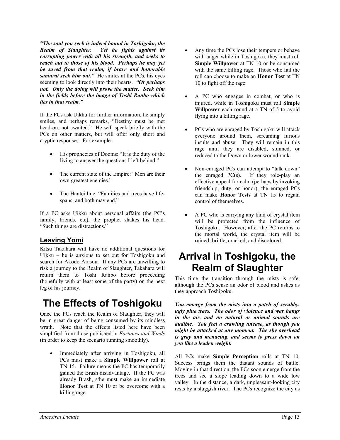*"The soul you seek is indeed bound in Toshigoku, the Realm of Slaughter. Yet he fights against its corrupting power with all his strength, and seeks to reach out to those of his blood. Perhaps he may yet be saved from that realm, if brave and honorable samurai seek him out."* He smiles at the PCs, his eyes seeming to look directly into their hearts. *"Or perhaps not. Only the doing will prove the matter. Seek him in the fields before the image of Toshi Ranbo which lies in that realm."*

If the PCs ask Uikku for further information, he simply smiles, and perhaps remarks, "Destiny must be met head-on, not awaited." He will speak briefly with the PCs on other matters, but will offer only short and cryptic responses. For example:

- His prophecies of Dooms: "It is the duty of the living to answer the questions I left behind."
- The current state of the Empire: "Men are their own greatest enemies."
- The Hantei line: "Families and trees have lifespans, and both may end."

If a PC asks Uikku about personal affairs (the PC's family, friends, etc), the prophet shakes his head. "Such things are distractions."

#### **Leaving Yomi**

Kitsu Takahara will have no additional questions for Uikku – he is anxious to set out for Toshigoku and search for Akodo Arasou. If any PCs are unwilling to risk a journey to the Realm of Slaughter, Takahara will return them to Toshi Ranbo before proceeding (hopefully with at least some of the party) on the next leg of his journey.

## **The Effects of Toshigoku**

Once the PCs reach the Realm of Slaughter, they will be in great danger of being consumed by its mindless wrath. Note that the effects listed here have been simplified from those published in *Fortunes and Winds* (in order to keep the scenario running smoothly).

Immediately after arriving in Toshigoku, all PCs must make a **Simple Willpower** roll at TN 15. Failure means the PC has temporarily gained the Brash disadvantage. If the PC was already Brash, s/he must make an immediate **Honor Test** at TN 10 or be overcome with a killing rage.

- Any time the PCs lose their tempers or behave with anger while in Toshigoku, they must roll **Simple Willpower** at TN 10 or be consumed with the same killing rage. Those who fail the roll can choose to make an **Honor Test** at TN 10 to fight off the rage.
- A PC who engages in combat, or who is injured, while in Toshigoku must roll **Simple Willpower** each round at a TN of 5 to avoid flying into a killing rage.
- PCs who are enraged by Toshigoku will attack everyone around them, screaming furious insults and abuse. They will remain in this rage until they are disabled, stunned, or reduced to the Down or lower wound rank.
- Non-enraged PCs can attempt to "talk down" the enraged  $PC(s)$ . If they role-play an effective appeal for calm (perhaps by invoking friendship, duty, or honor), the enraged PCs can make **Honor Tests** at TN 15 to regain control of themselves.
- A PC who is carrying any kind of crystal item will be protected from the influence of Toshigoku. However, after the PC returns to the mortal world, the crystal item will be ruined: brittle, cracked, and discolored.

### **Arrival in Toshigoku, the Realm of Slaughter**

This time the transition through the mists is safe, although the PCs sense an odor of blood and ashes as they approach Toshigoku.

*You emerge from the mists into a patch of scrubby, ugly pine trees. The odor of violence and war hangs in the air, and no natural or animal sounds are audible. You feel a crawling unease, as though you might be attacked at any moment. The sky overhead is gray and menacing, and seems to press down on you like a leaden weight.* 

All PCs make **Simple Perception** rolls at TN 10. Success brings them the distant sounds of battle. Moving in that direction, the PCs soon emerge from the trees and see a slope leading down to a wide low valley. In the distance, a dark, unpleasant-looking city rests by a sluggish river. The PCs recognize the city as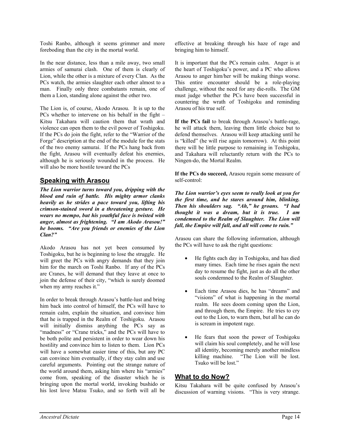Toshi Ranbo, although it seems grimmer and more foreboding than the city in the mortal world.

In the near distance, less than a mile away, two small armies of samurai clash. One of them is clearly of Lion, while the other is a mixture of every Clan. As the PCs watch, the armies slaughter each other almost to a man. Finally only three combatants remain, one of them a Lion, standing alone against the other two.

The Lion is, of course, Akodo Arasou. It is up to the PCs whether to intervene on his behalf in the fight – Kitsu Takahara will caution them that wrath and violence can open them to the evil power of Toshigoku. If the PCs do join the fight, refer to the "Warrior of the Forge" description at the end of the module for the stats of the two enemy samurai. If the PCs hang back from the fight, Arasou will eventually defeat his enemies, although he is seriously wounded in the process. He will also be more hostile toward the PCs

#### **Speaking with Arasou**

*The Lion warrior turns toward you, dripping with the blood and ruin of battle. His mighty armor clanks heavily as he strides a pace toward you, lifting his crimson-stained sword in a threatening gesture. He wears no mempo, but his youthful face is twisted with anger, almost as frightening. "I am Akodo Arasou!" he booms. "Are you friends or enemies of the Lion Clan?"* 

Akodo Arasou has not yet been consumed by Toshigoku, but he is beginning to lose the struggle. He will greet the PCs with angry demands that they join him for the march on Toshi Ranbo. If any of the PCs are Cranes, he will demand that they leave at once to join the defense of their city, "which is surely doomed when my army reaches it."

In order to break through Arasou's battle-lust and bring him back into control of himself, the PCs will have to remain calm, explain the situation, and convince him that he is trapped in the Realm of Toshigoku. Arasou will initially dismiss anything the PCs say as "madness" or "Crane tricks," and the PCs will have to be both polite and persistent in order to wear down his hostility and convince him to listen to them. Lion PCs will have a somewhat easier time of this, but any PC can convince him eventually, if they stay calm and use careful arguments. Pointing out the strange nature of the world around them, asking him where his "armies" come from, speaking of the disaster which he is bringing upon the mortal world, invoking bushido or his lost love Matsu Tsuko, and so forth will all be

effective at breaking through his haze of rage and bringing him to himself.

It is important that the PCs remain calm. Anger is at the heart of Toshigoku's power, and a PC who allows Arasou to anger him/her will be making things worse. This entire encounter should be a role-playing challenge, without the need for any die-rolls. The GM must judge whether the PCs have been successful in countering the wrath of Toshigoku and reminding Arasou of his true self.

**If the PCs fail** to break through Arasou's battle-rage, he will attack them, leaving them little choice but to defend themselves. Arasou will keep attacking until he is "killed" (he will rise again tomorrow). At this point there will be little purpose to remaining in Toshigoku, and Takahara will reluctantly return with the PCs to Ningen-do, the Mortal Realm.

**If the PCs do succeed,** Arasou regain some measure of self-control:

*The Lion warrior's eyes seem to really look at you for the first time, and he stares around him, blinking. Then his shoulders sag. "Ah," he groans. "I had thought it was a dream, but it is true. I am condemned to the Realm of Slaughter. The Lion will fall, the Empire will fall, and all will come to ruin."*

Arasou can share the following information, although the PCs will have to ask the right questions:

- He fights each day in Toshigoku, and has died many times. Each time he rises again the next day to resume the fight, just as do all the other souls condemned to the Realm of Slaughter.
- Each time Arasou dies, he has "dreams" and "visions" of what is happening in the mortal realm. He sees doom coming upon the Lion, and through them, the Empire. He tries to cry out to the Lion, to warn them, but all he can do is scream in impotent rage.
- He fears that soon the power of Toshigoku will claim his soul completely, and he will lose all identity, becoming merely another mindless killing machine. "The Lion will be lost. Tsuko will be lost."

#### **What to do Now?**

Kitsu Takahara will be quite confused by Arasou's discussion of warning visions. "This is very strange.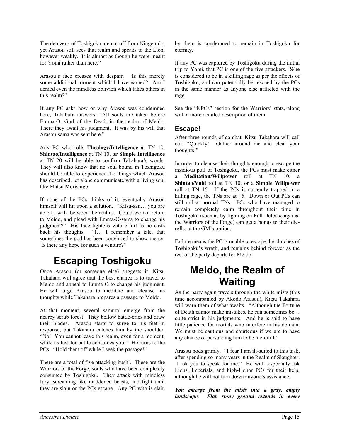The denizens of Toshigoku are cut off from Ningen-do, yet Arasou still sees that realm and speaks to the Lion, however weakly. It is almost as though he were meant for Yomi rather than here."

Arasou's face creases with despair. "Is this merely some additional torment which I have earned? Am I denied even the mindless oblivion which takes others in this realm?"

If any PC asks how or why Arasou was condemned here, Takahara answers: "All souls are taken before Emma-O, God of the Dead, in the realm of Meido. There they await his judgment. It was by his will that Arasou-sama was sent here."

Any PC who rolls **Theology/Intelligence** at TN 10, **Shintao/Intelligence** at TN 10, **or Simple Intelligence** at TN 20 will be able to confirm Takahara's words. They will also know that no soul bound in Toshigoku should be able to experience the things which Arasou has described, let alone communicate with a living soul like Matsu Morishige.

If none of the PCs thinks of it, eventually Arasou himself will hit upon a solution. "Kitsu-san... you are able to walk between the realms. Could we not return to Meido, and plead with Emma-O-sama to change his judgment?" His face tightens with effort as he casts back his thoughts. "I… I remember a tale, that sometimes the god has been convinced to show mercy. Is there any hope for such a venture?"

## **Escaping Toshigoku**

Once Arasou (or someone else) suggests it, Kitsu Takahara will agree that the best chance is to travel to Meido and appeal to Emma-O to change his judgment. He will urge Arasou to meditate and cleanse his thoughts while Takahara prepares a passage to Meido.

At that moment, several samurai emerge from the nearby scrub forest. They bellow battle-cries and draw their blades. Arasou starts to surge to his feet in response, but Takahara catches him by the shoulder. "No! You cannot leave this realm, even for a moment, while its lust for battle consumes you!" He turns to the PCs. "Hold them off while I seek the passage!"

There are a total of five attacking bushi. These are the Warriors of the Forge, souls who have been completely consumed by Toshigoku. They attack with mindless fury, screaming like maddened beasts, and fight until they are slain or the PCs escape. Any PC who is slain by them is condemned to remain in Toshigoku for eternity.

If any PC was captured by Toshigoku during the initial trip to Yomi, that PC is one of the five attackers. S/he is considered to be in a killing rage as per the effects of Toshigoku, and can potentially be rescued by the PCs in the same manner as anyone else afflicted with the rage.

See the "NPCs" section for the Warriors' stats, along with a more detailed description of them.

#### **Escape!**

After three rounds of combat, Kitsu Takahara will call out: "Quickly! Gather around me and clear your thoughts!"

In order to cleanse their thoughts enough to escape the insidious pull of Toshigoku, the PCs must make either a **Meditation/Willpower** roll at TN 10, a **Shintao/Void** roll at TN 10, or a **Simple Willpower** roll at TN 15. If the PCs is currently trapped in a killing rage, the TNs are at  $+5$ . Down or Out PCs can still roll at normal TNs. PCs who have managed to remain completely calm throughout their time in Toshigoku (such as by fighting on Full Defense against the Warriors of the Forge) can get a bonus to their dierolls, at the GM's option.

Failure means the PC is unable to escape the clutches of Toshigoku's wrath, and remains behind forever as the rest of the party departs for Meido.

### **Meido, the Realm of Waiting**

As the party again travels through the white mists (this time accompanied by Akodo Arasou), Kitsu Takahara will warn them of what awaits. "Although the Fortune of Death cannot make mistakes, he can sometimes be… quite strict in his judgments. And he is said to have little patience for mortals who interfere in his domain. We must be cautious and courteous if we are to have any chance of persuading him to be merciful."

Arasou nods grimly. "I fear I am ill-suited to this task, after spending so many years in the Realm of Slaughter. I ask you to speak for me." He will especially ask Lions, Imperials, and high-Honor PCs for their help, although he will not turn down anyone's assistance.

*You emerge from the mists into a gray, empty landscape. Flat, stony ground extends in every*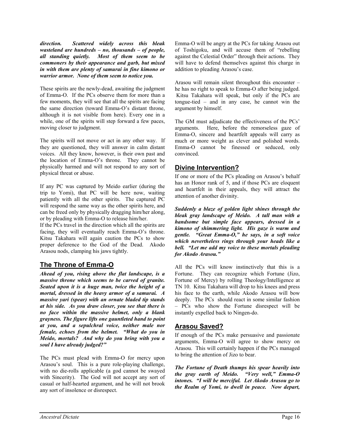*direction. Scattered widely across this bleak wasteland are hundreds – no, thousands – of people, all standing quietly. Most of them seem to be commoners by their appearance and garb, but mixed in with them are plenty of samurai in fine kimono or warrior armor. None of them seem to notice you.* 

These spirits are the newly-dead, awaiting the judgment of Emma-O. If the PCs observe them for more than a few moments, they will see that all the spirits are facing the same direction (toward Emma-O's distant throne, although it is not visible from here). Every one in a while, one of the spirits will step forward a few paces, moving closer to judgment.

The spirits will not move or act in any other way. If they are questioned, they will answer in calm distant voices. All they know, however, is their own past and the location of Emma-O's throne. They cannot be physically harmed and will not respond to any sort of physical threat or abuse.

If any PC was captured by Meido earlier (during the trip to Yomi), that PC will be here now, waiting patiently with all the other spirits. The captured PC will respond the same way as the other spirits here, and can be freed only by physically dragging him/her along, or by pleading with Emma-O to release him/her.

If the PCs travel in the direction which all the spirits are facing, they will eventually reach Emma-O's throne. Kitsu Takahara will again caution the PCs to show proper deference to the God of the Dead. Akodo Arasou nods, clamping his jaws tightly.

#### **The Throne of Emma-O**

*Ahead of you, rising above the flat landscape, is a massive throne which seems to be carved of granite. Seated upon it is a huge man, twice the height of a mortal, dressed in the heavy armor of a samurai. A massive yari (spear) with an ornate bladed tip stands at his side. As you draw closer, you see that there is no face within the massive helmet, only a blank grayness. The figure lifts one gauntleted hand to point at you, and a sepulchral voice, neither male nor female, echoes from the helmet. "What do you in Meido, mortals? And why do you bring with you a soul I have already judged?"* 

The PCs must plead with Emma-O for mercy upon Arasou's soul. This is a pure role-playing challenge, with no die-rolls applicable (a god cannot be swayed with Sincerity). The God will not accept any sort of casual or half-hearted argument, and he will not brook any sort of insolence or disrespect.

Emma-O will be angry at the PCs for taking Arasou out of Toshigoku, and will accuse them of "rebelling against the Celestial Order" through their actions. They will have to defend themselves against this charge in addition to pleading Arasou's case.

Arasou will remain silent throughout this encounter – he has no right to speak to Emma-O after being judged. Kitsu Takahara will speak, but only if the PCs are tongue-tied – and in any case, he cannot win the argument by himself.

The GM must adjudicate the effectiveness of the PCs' arguments. Here, before the remorseless gaze of Emma-O, sincere and heartfelt appeals will carry as much or more weight as clever and polished words. Emma-O cannot be finessed or seduced, only convinced.

#### **Divine Intervention?**

If one or more of the PCs pleading on Arasou's behalf has an Honor rank of 5, and if those PCs are eloquent and heartfelt in their appeals, they will attract the attention of another divinity.

*Suddenly a blaze of golden light shines through the bleak gray landscape of Meido. A tall man with a handsome but simple face appears, dressed in a kimono of shimmering light. His gaze is warm and gentle. "Great Emma-O," he says, in a soft voice which nevertheless rings through your heads like a bell. "Let me add my voice to these mortals pleading for Akodo Arasou."* 

All the PCs will know instinctively that this is a Fortune. They can recognize which Fortune (Jizo, Fortune of Mercy) by rolling Theology/Intelligence at TN 10. Kitsu Takahara will drop to his knees and press his face to the earth, while Akodo Arasou will bow deeply. The PCs should react in some similar fashion – PCs who show the Fortune disrespect will be instantly expelled back to Ningen-do.

### **Arasou Saved?**

If enough of the PCs make persuasive and passionate arguments, Emma-O will agree to show mercy on Arasou. This will certainly happen if the PCs managed to bring the attention of Jizo to bear.

*The Fortune of Death thumps his spear heavily into the gray earth of Meido. "Very well," Emma-O intones. "I will be merciful. Let Akodo Arasou go to the Realm of Yomi, to dwell in peace. Now depart,*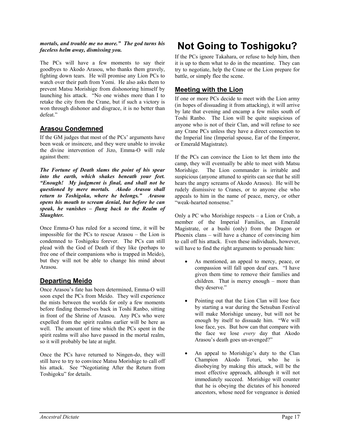#### *mortals, and trouble me no more." The god turns his faceless helm away, dismissing you.*

The PCs will have a few moments to say their goodbyes to Akodo Arasou, who thanks them gravely, fighting down tears. He will promise any Lion PCs to watch over their path from Yomi. He also asks them to prevent Matsu Morishige from dishonoring himself by launching his attack. "No one wishes more than I to retake the city from the Crane, but if such a victory is won through dishonor and disgrace, it is no better than defeat."

#### **Arasou Condemned**

If the GM judges that most of the PCs' arguments have been weak or insincere, and they were unable to invoke the divine intervention of Jizo, Emma-O will rule against them:

*The Fortune of Death slams the point of his spear into the earth, which shakes beneath your feet. "Enough! My judgment is final, and shall not be questioned by mere mortals. Akodo Arasou shall return to Toshigoku, where he belongs." Arasou opens his mouth to scream denial, but before he can speak, he vanishes – flung back to the Realm of Slaughter.* 

Once Emma-O has ruled for a second time, it will be impossible for the PCs to rescue Arasou – the Lion is condemned to Toshigoku forever. The PCs can still plead with the God of Death if they like (perhaps to free one of their companions who is trapped in Meido), but they will not be able to change his mind about Arasou.

#### **Departing Meido**

Once Arasou's fate has been determined, Emma-O will soon expel the PCs from Meido. They will experience the mists between the worlds for only a few moments before finding themselves back in Toshi Ranbo, sitting in front of the Shrine of Arasou. Any PCs who were expelled from the spirit realms earlier will be here as well. The amount of time which the PCs spent in the spirit realms will also have passed in the mortal realm, so it will probably be late at night.

Once the PCs have returned to Ningen-do, they will still have to try to convince Matsu Morishige to call off his attack. See "Negotiating After the Return from Toshigoku" for details.

# **Not Going to Toshigoku?**

If the PCs ignore Takahara, or refuse to help him, then it is up to them what to do in the meantime. They can try to negotiate, help the Crane or the Lion prepare for battle, or simply flee the scene.

#### **Meeting with the Lion**

If one or more PCs decide to meet with the Lion army (in hopes of dissuading it from attacking), it will arrive by late that evening and encamp a few miles south of Toshi Ranbo. The Lion will be quite suspicious of anyone who is not of their Clan, and will refuse to see any Crane PCs unless they have a direct connection to the Imperial line (Imperial spouse, Ear of the Emperor, or Emerald Magistrate).

If the PCs can convince the Lion to let them into the camp, they will eventually be able to meet with Matsu Morishige. The Lion commander is irritable and suspicious (anyone attuned to spirits can see that he still hears the angry screams of Akodo Arasou). He will be rudely dismissive to Cranes, or to anyone else who appeals to him in the name of peace, mercy, or other "weak-hearted nonsense."

Only a PC who Morishige respects – a Lion or Crab, a member of the Imperial Families, an Emerald Magistrate, or a bushi (only) from the Dragon or Phoenix clans – will have a chance of convincing him to call off his attack. Even these individuals, however, will have to find the right arguments to persuade him:

- As mentioned, an appeal to mercy, peace, or compassion will fall upon deaf ears. "I have given them time to remove their families and children. That is mercy enough – more than they deserve."
- Pointing out that the Lion Clan will lose face by starting a war during the Setsuban Festival will make Morishige uneasy, but will not be enough by itself to dissuade him. "We will lose face, yes. But how can that compare with the face we lose *every* day that Akodo Arasou's death goes un-avenged?"
- An appeal to Morishige's duty to the Clan Champion Akodo Toturi, who he is disobeying by making this attack, will be the most effective approach, although it will not immediately succeed. Morishige will counter that he is obeying the dictates of his honored ancestors, whose need for vengeance is denied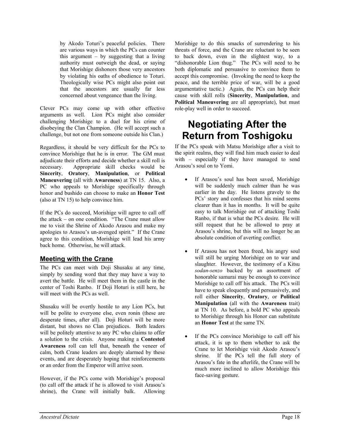by Akodo Toturi's peaceful policies. There are various ways in which the PCs can counter this argument  $-$  by suggesting that a living authority must outweigh the dead, or saying that Morishige dishonors those very ancestors by violating his oaths of obedience to Toturi. Theologically wise PCs might also point out that the ancestors are usually far less concerned about vengeance than the living.

Clever PCs may come up with other effective arguments as well. Lion PCs might also consider challenging Morishige to a duel for his crime of disobeying the Clan Champion. (He will accept such a challenge, but not one from someone outside his Clan.)

Regardless, it should be very difficult for the PCs to convince Morishige that he is in error. The GM must adjudicate their efforts and decide whether a skill roll is necessary. Appropriate skill checks would be **Sincerity**, **Oratory**, **Manipulation**, or **Political Maneuvering** (all with **Awareness**) at TN 15. Also, a PC who appeals to Morishige specifically through honor and bushido can choose to make an **Honor Test** (also at TN 15) to help convince him.

If the PCs do succeed, Morishige will agree to call off the attack – on one condition. "The Crane must allow me to visit the Shrine of Akodo Arasou and make my apologies to Arasou's un-avenged spirit." If the Crane agree to this condition, Morishige will lead his army back home. Otherwise, he will attack.

#### **Meeting with the Crane**

The PCs can meet with Doji Shusaku at any time, simply by sending word that they may have a way to avert the battle. He will meet them in the castle in the center of Toshi Ranbo. If Doji Hoturi is still here, he will meet with the PCs as well.

Shusaku will be overtly hostile to any Lion PCs, but will be polite to everyone else, even ronin (these are desperate times, after all). Doji Hoturi will be more distant, but shows no Clan prejudices. Both leaders will be politely attentive to any PC who claims to offer a solution to the crisis. Anyone making a **Contested Awareness** roll can tell that, beneath the veneer of calm, both Crane leaders are deeply alarmed by these events, and are desperately hoping that reinforcements or an order from the Emperor will arrive soon.

However, if the PCs come with Morishige's proposal (to call off the attack if he is allowed to visit Arasou's shrine), the Crane will initially balk. Allowing

Morishige to do this smacks of surrendering to his threats of force, and the Crane are reluctant to be seen to back down, even in the slightest way, to a "dishonorable Lion thug." The PCs will need to be both diplomatic and persuasive to convince them to accept this compromise. (Invoking the need to keep the peace, and the terrible price of war, will be a good argumentative tactic.) Again, the PCs can help their cause with skill rolls (**Sincerity**, **Manipulation**, and **Political Maneuvering** are all appropriate), but must role-play well in order to succeed.

### **Negotiating After the Return from Toshigoku**

If the PCs speak with Matsu Morishige after a visit to the spirit realms, they will find him much easier to deal with – especially if they have managed to send Arasou's soul on to Yomi.

- If Arasou's soul has been saved, Morishige will be suddenly much calmer than he was earlier in the day. He listens gravely to the PCs' story and confesses that his mind seems clearer than it has in months. It will be quite easy to talk Morishige out of attacking Toshi Ranbo, if that is what the PCs desire. He will still request that he be allowed to pray at Arasou's shrine, but this will no longer be an absolute condition of averting conflict.
- If Arasou has not been freed, his angry soul will still be urging Morishige on to war and slaughter. However, the testimony of a Kitsu *sodan-senzo* backed by an assortment of honorable samurai may be enough to convince Morishige to call off his attack. The PCs will have to speak eloquently and persuasively, and roll either **Sincerity**, **Oratory**, or **Political Manipulation** (all with the **Awareness** trait) at TN 10. As before, a bold PC who appeals to Morishige through his Honor can substitute an **Honor Test** at the same TN.
- If the PCs convince Morishige to call off his attack, it is up to them whether to ask the Crane to let Morishige visit Akodo Arasou's shrine. If the PCs tell the full story of Arasou's fate in the afterlife, the Crane will be much more inclined to allow Morishige this face-saving gesture.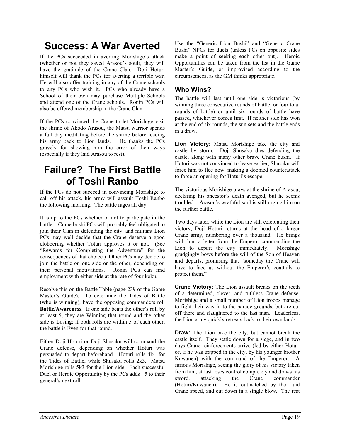### **Success: A War Averted**

If the PCs succeeded in averting Morishige's attack (whether or not they saved Arasou's soul), they will have the gratitude of the Crane Clan. Doji Hoturi himself will thank the PCs for averting a terrible war. He will also offer training in any of the Crane schools to any PCs who wish it. PCs who already have a School of their own may purchase Multiple Schools and attend one of the Crane schools. Ronin PCs will also be offered membership in the Crane Clan.

If the PCs convinced the Crane to let Morishige visit the shrine of Akodo Arasou, the Matsu warrior spends a full day meditating before the shrine before leading his army back to Lion lands. He thanks the PCs gravely for showing him the error of their ways (especially if they laid Arasou to rest).

### **Failure? The First Battle of Toshi Ranbo**

If the PCs do not succeed in convincing Morishige to call off his attack, his army will assault Toshi Ranbo the following morning. The battle rages all day.

It is up to the PCs whether or not to participate in the battle – Crane bushi PCs will probably feel obligated to join their Clan in defending the city, and militant Lion PCs may well decide that the Crane deserve a good clobbering whether Toturi approves it or not. (See "Rewards for Completing the Adventure" for the consequences of that choice.) Other PCs may decide to join the battle on one side or the other, depending on their personal motivations. Ronin PCs can find employment with either side at the rate of four koku.

Resolve this on the Battle Table (page 239 of the Game Master's Guide). To determine the Tides of Battle (who is winning), have the opposing commanders roll **Battle/Awareness**. If one side beats the other's roll by at least 5, they are Winning that round and the other side is Losing; if both rolls are within 5 of each other, the battle is Even for that round.

Either Doji Hoturi or Doji Shusaku will command the Crane defense, depending on whether Hoturi was persuaded to depart beforehand. Hoturi rolls 4k4 for the Tides of Battle, while Shusaku rolls 2k3. Matsu Morishige rolls 5k3 for the Lion side. Each successful Duel or Heroic Opportunity by the PCs adds +5 to their general's next roll.

Use the "Generic Lion Bushi" and "Generic Crane Bushi" NPCs for duels (unless PCs on opposite sides make a point of seeking each other out). Heroic Opportunities can be taken from the list in the Game Master's Guide, or improvised according to the circumstances, as the GM thinks appropriate.

#### **Who Wins?**

The battle will last until one side is victorious (by winning three consecutive rounds of battle, or four total rounds of battle) or until six rounds of battle have passed, whichever comes first. If neither side has won at the end of six rounds, the sun sets and the battle ends in a draw.

**Lion Victory:** Matsu Morishige take the city and castle by storm. Doji Shusaku dies defending the castle, along with many other brave Crane bushi. If Hoturi was not convinced to leave earlier, Shusaku will force him to flee now, making a doomed counterattack to force an opening for Hoturi's escape.

The victorious Morishige prays at the shrine of Arasou, declaring his ancestor's death avenged, but he seems troubled – Arasou's wrathful soul is still urging him on the further battle.

Two days later, while the Lion are still celebrating their victory, Doji Hoturi returns at the head of a larger Crane army, numbering over a thousand. He brings with him a letter from the Emperor commanding the Lion to depart the city immediately. Morishige grudgingly bows before the will of the Son of Heaven and departs, promising that "someday the Crane will have to face us without the Emperor's coattails to protect them."

**Crane Victory:** The Lion assault breaks on the teeth of a determined, clever, and ruthless Crane defense. Morishige and a small number of Lion troops manage to fight their way in to the parade grounds, but are cut off there and slaughtered to the last man. Leaderless, the Lion army quickly retreats back to their own lands.

**Draw:** The Lion take the city, but cannot break the castle itself. They settle down for a siege, and in two days Crane reinforcements arrive (led by either Hoturi or, if he was trapped in the city, by his younger brother Kuwanen) with the command of the Emperor. A furious Morishige, seeing the glory of his victory taken from him, at last loses control completely and draws his sword, attacking the Crane commander (Hoturi/Kuwanen). He is outmatched by the fluid Crane speed, and cut down in a single blow. The rest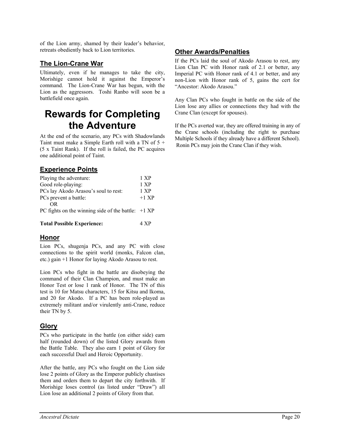of the Lion army, shamed by their leader's behavior, retreats obediently back to Lion territories.

#### **The Lion-Crane War**

Ultimately, even if he manages to take the city, Morishige cannot hold it against the Emperor's command. The Lion-Crane War has begun, with the Lion as the aggressors. Toshi Ranbo will soon be a battlefield once again.

### **Rewards for Completing the Adventure**

At the end of the scenario, any PCs with Shadowlands Taint must make a Simple Earth roll with a TN of 5 + (5 x Taint Rank). If the roll is failed, the PC acquires one additional point of Taint.

#### **Experience Points**

| Playing the adventure:                               | 1 XP    |
|------------------------------------------------------|---------|
| Good role-playing:                                   | 1 XP    |
| PCs lay Akodo Arasou's soul to rest:                 | 1 XP    |
| PCs prevent a battle:                                | $+1$ XP |
| OR.                                                  |         |
| PC fights on the winning side of the battle: $+1$ XP |         |
|                                                      |         |
| <b>Total Possible Experience:</b>                    | 4 XP    |

#### **Honor**

Lion PCs, shugenja PCs, and any PC with close connections to the spirit world (monks, Falcon clan, etc.) gain +1 Honor for laying Akodo Arasou to rest.

Lion PCs who fight in the battle are disobeying the command of their Clan Champion, and must make an Honor Test or lose 1 rank of Honor. The TN of this test is 10 for Matsu characters, 15 for Kitsu and Ikoma, and 20 for Akodo. If a PC has been role-played as extremely militant and/or virulently anti-Crane, reduce their TN by 5.

#### **Glory**

PCs who participate in the battle (on either side) earn half (rounded down) of the listed Glory awards from the Battle Table. They also earn 1 point of Glory for each successful Duel and Heroic Opportunity.

After the battle, any PCs who fought on the Lion side lose 2 points of Glory as the Emperor publicly chastises them and orders them to depart the city forthwith. If Morishige loses control (as listed under "Draw") all Lion lose an additional 2 points of Glory from that.

### **Other Awards/Penalties**

If the PCs laid the soul of Akodo Arasou to rest, any Lion Clan PC with Honor rank of 2.1 or better, any Imperial PC with Honor rank of 4.1 or better, and any non-Lion with Honor rank of 5, gains the cert for "Ancestor: Akodo Arasou."

Any Clan PCs who fought in battle on the side of the Lion lose any allies or connections they had with the Crane Clan (except for spouses).

If the PCs averted war, they are offered training in any of the Crane schools (including the right to purchase Multiple Schools if they already have a different School). Ronin PCs may join the Crane Clan if they wish.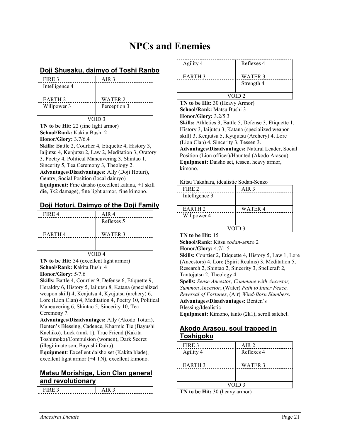### **NPCs and Enemies**

#### **Doji Shusaku, daimyo of Toshi Ranbo**

| FIRE 3             | AIR <sub>3</sub> |
|--------------------|------------------|
| Intelligence 4     |                  |
|                    |                  |
| EARTH <sub>2</sub> | WATER 2          |
| Willpower 3        | Perception 3     |
|                    |                  |
| VOID <sub>3</sub>  |                  |

**TN to be Hit:** 22 (fine light armor) **School/Rank:** Kakita Bushi 2 **Honor/Glory:** 3.7/6.4 **Skills:** Battle 2, Courtier 4, Etiquette 4, History 3, Iaijutsu 4, Kenjutsu 2, Law 2, Meditation 3, Oratory 3, Poetry 4, Political Maneuvering 3, Shintao 1,

Sincerity 5, Tea Ceremony 3, Theology 2. **Advantages/Disadvantages:** Ally (Doji Hoturi), Gentry, Social Position (local daimyo) **Equipment:** Fine daisho (excellent katana, +1 skill die, 3k2 damage), fine light armor, fine kimono.

#### **Doji Hoturi, Daimyo of the Doji Family**

| FIRE 4        | AIR <sub>4</sub> |
|---------------|------------------|
|               | Reflexes 5       |
| <b>EARTH4</b> | WATER 3          |
|               |                  |
| VOID 4        |                  |

**TN to be Hit:** 34 (excellent light armor) **School/Rank:** Kakita Bushi 4 **Honor/Glory:** 5/7.6

**Skills:** Battle 4, Courtier 9, Defense 6, Etiquette 9, Heraldry 6, History 5, Iaijutsu 8, Katana (specialized weapon skill) 4, Kenjutsu 4, Kyujutsu (archery) 6, Lore (Lion Clan) 4, Meditation 4, Poetry 10, Political Maneuvering 6, Shintao 5, Sincerity 10, Tea Ceremony 7.

**Advantages/Disadvantages:** Ally (Akodo Toturi), Benten's Blessing, Cadence, Kharmic Tie (Bayushi Kachiko), Luck (rank 1), True Friend (Kakita Toshimoko)/Compulsion (women), Dark Secret (illegitimate son, Bayushi Dairu).

**Equipment**: Excellent daisho set (Kakita blade), excellent light armor (+4 TN), excellent kimono.

#### **Matsu Morishige, Lion Clan general and revolutionary**

| ____ |
|------|

| Agility 4          | Reflexes 4            |
|--------------------|-----------------------|
| EARTH <sub>3</sub> | WATER 3<br>Strength 4 |
| VOID <sub>2</sub>  |                       |

**TN to be Hit:** 30 (Heavy Armor) **School/Rank:** Matsu Bushi 3 **Honor/Glory:** 3.2/5.3 **Skills:** Athletics 3, Battle 5, Defense 3, Etiquette 1, History 3, Iaijutsu 3, Katana (specialized weapon skill) 3, Kenjutsu 5, Kyujutsu (Archery) 4, Lore (Lion Clan) 4, Sincerity 3, Tessen 3. **Advantages/Disadvantages:** Natural Leader, Social Position (Lion officer)/Haunted (Akodo Arasou). **Equipment:** Daisho set, tessen, heavy armor, kimono.

#### Kitsu Takahara, idealistic Sodan-Senzo

| FIRE 2             | AIR 3   |
|--------------------|---------|
| Intelligence 3     |         |
|                    |         |
| EARTH <sub>2</sub> | WATER 4 |
| Willpower 4        |         |
|                    |         |
|                    |         |

#### **TN to be Hit:** 15

**School/Rank:** Kitsu *sodan-senzo* 2 **Honor/Glory:** 4.7/1.5

**Skills:** Courtier 2, Etiquette 4, History 5, Law 1, Lore (Ancestors) 4, Lore (Spirit Realms) 3, Meditation 5, Research 2, Shintao 2, Sincerity 3, Spellcraft 2, Tantojutsu 2, Theology 4. **Spells:** *Sense Ancestor, Commune with Ancestor, Summon Ancestor*, (Water) *Path to Inner Peace, Reversal of Fortunes*, (Air) *Wind-Born Slumbers*.

**Advantages/Disadvantages:** Benten's

Blessing/Idealistic

**Equipment:** Kimono, tanto (2k1), scroll satchel.

#### **Akodo Arasou, soul trapped in Toshigoku**

| FIRE 3            | AIR 2      |
|-------------------|------------|
| Agility 4         | Reflexes 4 |
| <b>EARTH 3</b>    | WATER 3    |
|                   |            |
| VOID <sub>3</sub> |            |

**TN to be Hit:** 30 (heavy armor)